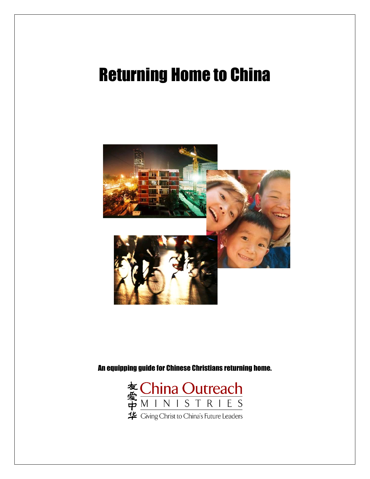# Returning Home to China



An equipping guide for Chinese Christians returning home.

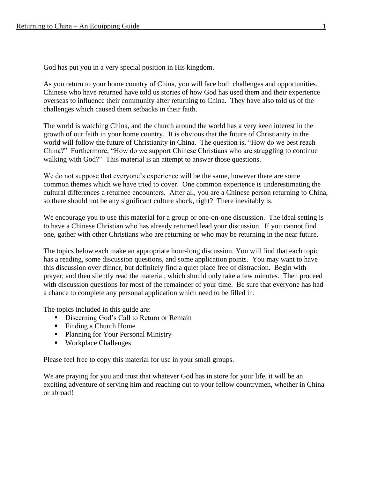God has put you in a very special position in His kingdom.

As you return to your home country of China, you will face both challenges and opportunities. Chinese who have returned have told us stories of how God has used them and their experience overseas to influence their community after returning to China. They have also told us of the challenges which caused them setbacks in their faith.

The world is watching China, and the church around the world has a very keen interest in the growth of our faith in your home country. It is obvious that the future of Christianity in the world will follow the future of Christianity in China. The question is, "How do we best reach China?" Furthermore, "How do we support Chinese Christians who are struggling to continue walking with God?" This material is an attempt to answer those questions.

We do not suppose that everyone's experience will be the same, however there are some common themes which we have tried to cover. One common experience is underestimating the cultural differences a returnee encounters. After all, you are a Chinese person returning to China, so there should not be any significant culture shock, right? There inevitably is.

We encourage you to use this material for a group or one-on-one discussion. The ideal setting is to have a Chinese Christian who has already returned lead your discussion. If you cannot find one, gather with other Christians who are returning or who may be returning in the near future.

The topics below each make an appropriate hour-long discussion. You will find that each topic has a reading, some discussion questions, and some application points. You may want to have this discussion over dinner, but definitely find a quiet place free of distraction. Begin with prayer, and then silently read the material, which should only take a few minutes. Then proceed with discussion questions for most of the remainder of your time. Be sure that everyone has had a chance to complete any personal application which need to be filled in.

The topics included in this guide are:

- **•** Discerning God's Call to Return or Remain
- Finding a Church Home
- Planning for Your Personal Ministry
- Workplace Challenges

Please feel free to copy this material for use in your small groups.

We are praying for you and trust that whatever God has in store for your life, it will be an exciting adventure of serving him and reaching out to your fellow countrymen, whether in China or abroad!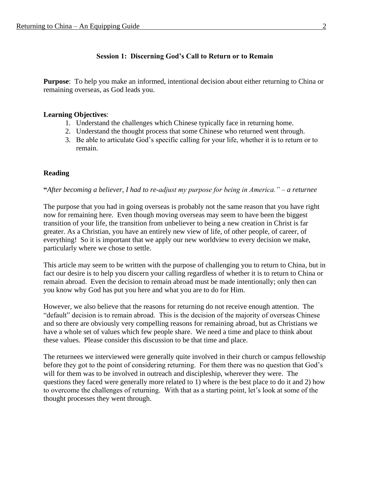## **Session 1: Discerning God's Call to Return or to Remain**

**Purpose**: To help you make an informed, intentional decision about either returning to China or remaining overseas, as God leads you.

#### **Learning Objectives**:

- 1. Understand the challenges which Chinese typically face in returning home.
- 2. Understand the thought process that some Chinese who returned went through.
- 3. Be able to articulate God's specific calling for your life, whether it is to return or to remain.

#### **Reading**

**"***After becoming a believer, I had to re-adjust my purpose for being in America." – a returnee*

The purpose that you had in going overseas is probably not the same reason that you have right now for remaining here. Even though moving overseas may seem to have been the biggest transition of your life, the transition from unbeliever to being a new creation in Christ is far greater. As a Christian, you have an entirely new view of life, of other people, of career, of everything! So it is important that we apply our new worldview to every decision we make, particularly where we chose to settle.

This article may seem to be written with the purpose of challenging you to return to China, but in fact our desire is to help you discern your calling regardless of whether it is to return to China or remain abroad. Even the decision to remain abroad must be made intentionally; only then can you know why God has put you here and what you are to do for Him.

However, we also believe that the reasons for returning do not receive enough attention. The "default" decision is to remain abroad. This is the decision of the majority of overseas Chinese and so there are obviously very compelling reasons for remaining abroad, but as Christians we have a whole set of values which few people share. We need a time and place to think about these values. Please consider this discussion to be that time and place.

The returnees we interviewed were generally quite involved in their church or campus fellowship before they got to the point of considering returning. For them there was no question that God's will for them was to be involved in outreach and discipleship, wherever they were. The questions they faced were generally more related to 1) where is the best place to do it and 2) how to overcome the challenges of returning. With that as a starting point, let's look at some of the thought processes they went through.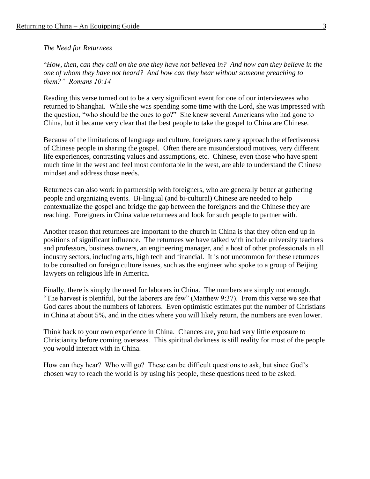*The Need for Returnees*

"*How, then, can they call on the one they have not believed in? And how can they believe in the one of whom they have not heard? And how can they hear without someone preaching to them?" Romans 10:14*

Reading this verse turned out to be a very significant event for one of our interviewees who returned to Shanghai. While she was spending some time with the Lord, she was impressed with the question, "who should be the ones to go?" She knew several Americans who had gone to China, but it became very clear that the best people to take the gospel to China are Chinese.

Because of the limitations of language and culture, foreigners rarely approach the effectiveness of Chinese people in sharing the gospel. Often there are misunderstood motives, very different life experiences, contrasting values and assumptions, etc. Chinese, even those who have spent much time in the west and feel most comfortable in the west, are able to understand the Chinese mindset and address those needs.

Returnees can also work in partnership with foreigners, who are generally better at gathering people and organizing events. Bi-lingual (and bi-cultural) Chinese are needed to help contextualize the gospel and bridge the gap between the foreigners and the Chinese they are reaching. Foreigners in China value returnees and look for such people to partner with.

Another reason that returnees are important to the church in China is that they often end up in positions of significant influence. The returnees we have talked with include university teachers and professors, business owners, an engineering manager, and a host of other professionals in all industry sectors, including arts, high tech and financial. It is not uncommon for these returnees to be consulted on foreign culture issues, such as the engineer who spoke to a group of Beijing lawyers on religious life in America.

Finally, there is simply the need for laborers in China. The numbers are simply not enough. "The harvest is plentiful, but the laborers are few" (Matthew 9:37). From this verse we see that God cares about the numbers of laborers. Even optimistic estimates put the number of Christians in China at about 5%, and in the cities where you will likely return, the numbers are even lower.

Think back to your own experience in China. Chances are, you had very little exposure to Christianity before coming overseas. This spiritual darkness is still reality for most of the people you would interact with in China.

How can they hear? Who will go? These can be difficult questions to ask, but since God's chosen way to reach the world is by using his people, these questions need to be asked.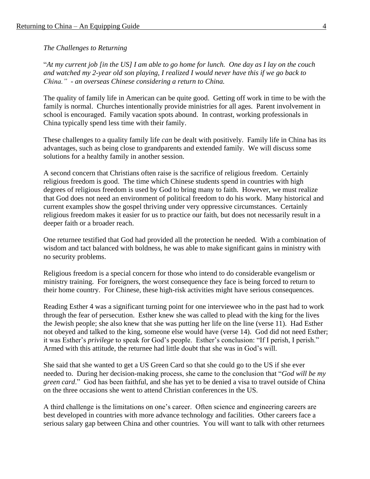#### *The Challenges to Returning*

"*At my current job [in the US] I am able to go home for lunch. One day as I lay on the couch and watched my 2-year old son playing, I realized I would never have this if we go back to China." - an overseas Chinese considering a return to China.*

The quality of family life in American can be quite good. Getting off work in time to be with the family is normal. Churches intentionally provide ministries for all ages. Parent involvement in school is encouraged. Family vacation spots abound. In contrast, working professionals in China typically spend less time with their family.

These challenges to a quality family life *can* be dealt with positively. Family life in China has its advantages, such as being close to grandparents and extended family. We will discuss some solutions for a healthy family in another session.

A second concern that Christians often raise is the sacrifice of religious freedom. Certainly religious freedom is good. The time which Chinese students spend in countries with high degrees of religious freedom is used by God to bring many to faith. However, we must realize that God does not need an environment of political freedom to do his work. Many historical and current examples show the gospel thriving under very oppressive circumstances. Certainly religious freedom makes it easier for us to practice our faith, but does not necessarily result in a deeper faith or a broader reach.

One returnee testified that God had provided all the protection he needed. With a combination of wisdom and tact balanced with boldness, he was able to make significant gains in ministry with no security problems.

Religious freedom is a special concern for those who intend to do considerable evangelism or ministry training. For foreigners, the worst consequence they face is being forced to return to their home country. For Chinese, these high-risk activities might have serious consequences.

Reading Esther 4 was a significant turning point for one interviewee who in the past had to work through the fear of persecution. Esther knew she was called to plead with the king for the lives the Jewish people; she also knew that she was putting her life on the line (verse 11). Had Esther not obeyed and talked to the king, someone else would have (verse 14). God did not need Esther; it was Esther's *privilege* to speak for God's people. Esther's conclusion: "If I perish, I perish." Armed with this attitude, the returnee had little doubt that she was in God's will.

She said that she wanted to get a US Green Card so that she could go to the US if she ever needed to. During her decision-making process, she came to the conclusion that "*God will be my green card*." God has been faithful, and she has yet to be denied a visa to travel outside of China on the three occasions she went to attend Christian conferences in the US.

A third challenge is the limitations on one's career. Often science and engineering careers are best developed in countries with more advance technology and facilities. Other careers face a serious salary gap between China and other countries. You will want to talk with other returnees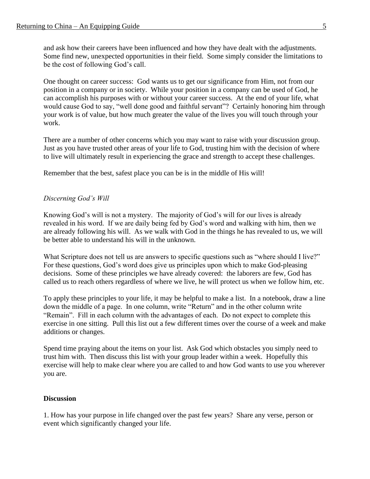and ask how their careers have been influenced and how they have dealt with the adjustments. Some find new, unexpected opportunities in their field. Some simply consider the limitations to be the cost of following God's call.

One thought on career success: God wants us to get our significance from Him, not from our position in a company or in society. While your position in a company can be used of God, he can accomplish his purposes with or without your career success. At the end of your life, what would cause God to say, "well done good and faithful servant"? Certainly honoring him through your work is of value, but how much greater the value of the lives you will touch through your work.

There are a number of other concerns which you may want to raise with your discussion group. Just as you have trusted other areas of your life to God, trusting him with the decision of where to live will ultimately result in experiencing the grace and strength to accept these challenges.

Remember that the best, safest place you can be is in the middle of His will!

#### *Discerning God's Will*

Knowing God's will is not a mystery. The majority of God's will for our lives is already revealed in his word. If we are daily being fed by God's word and walking with him, then we are already following his will. As we walk with God in the things he has revealed to us, we will be better able to understand his will in the unknown.

What Scripture does not tell us are answers to specific questions such as "where should I live?" For these questions, God's word does give us principles upon which to make God-pleasing decisions. Some of these principles we have already covered: the laborers are few, God has called us to reach others regardless of where we live, he will protect us when we follow him, etc.

To apply these principles to your life, it may be helpful to make a list. In a notebook, draw a line down the middle of a page. In one column, write "Return" and in the other column write "Remain". Fill in each column with the advantages of each. Do not expect to complete this exercise in one sitting. Pull this list out a few different times over the course of a week and make additions or changes.

Spend time praying about the items on your list. Ask God which obstacles you simply need to trust him with. Then discuss this list with your group leader within a week. Hopefully this exercise will help to make clear where you are called to and how God wants to use you wherever you are.

#### **Discussion**

1. How has your purpose in life changed over the past few years? Share any verse, person or event which significantly changed your life.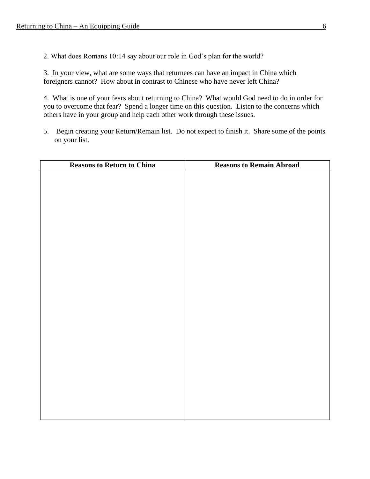2. What does Romans 10:14 say about our role in God's plan for the world?

3. In your view, what are some ways that returnees can have an impact in China which foreigners cannot? How about in contrast to Chinese who have never left China?

4. What is one of your fears about returning to China? What would God need to do in order for you to overcome that fear? Spend a longer time on this question. Listen to the concerns which others have in your group and help each other work through these issues.

5. Begin creating your Return/Remain list. Do not expect to finish it. Share some of the points on your list.

| <b>Reasons to Return to China</b> | <b>Reasons to Remain Abroad</b> |
|-----------------------------------|---------------------------------|
|                                   |                                 |
|                                   |                                 |
|                                   |                                 |
|                                   |                                 |
|                                   |                                 |
|                                   |                                 |
|                                   |                                 |
|                                   |                                 |
|                                   |                                 |
|                                   |                                 |
|                                   |                                 |
|                                   |                                 |
|                                   |                                 |
|                                   |                                 |
|                                   |                                 |
|                                   |                                 |
|                                   |                                 |
|                                   |                                 |
|                                   |                                 |
|                                   |                                 |
|                                   |                                 |
|                                   |                                 |
|                                   |                                 |
|                                   |                                 |
|                                   |                                 |
|                                   |                                 |
|                                   |                                 |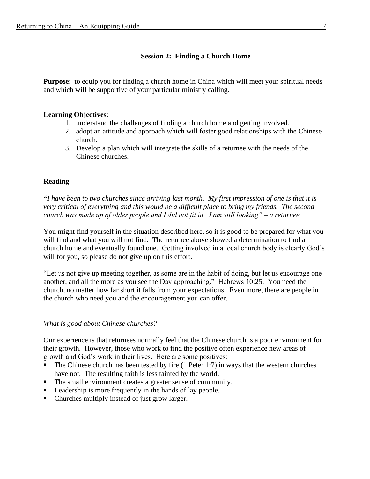# **Session 2: Finding a Church Home**

**Purpose**: to equip you for finding a church home in China which will meet your spiritual needs and which will be supportive of your particular ministry calling.

#### **Learning Objectives**:

- 1. understand the challenges of finding a church home and getting involved.
- 2. adopt an attitude and approach which will foster good relationships with the Chinese church.
- 3. Develop a plan which will integrate the skills of a returnee with the needs of the Chinese churches.

# **Reading**

**"***I have been to two churches since arriving last month. My first impression of one is that it is very critical of everything and this would be a difficult place to bring my friends. The second church was made up of older people and I did not fit in. I am still looking" – a returnee*

You might find yourself in the situation described here, so it is good to be prepared for what you will find and what you will not find. The returnee above showed a determination to find a church home and eventually found one. Getting involved in a local church body is clearly God's will for you, so please do not give up on this effort.

"Let us not give up meeting together, as some are in the habit of doing, but let us encourage one another, and all the more as you see the Day approaching." Hebrews 10:25. You need the church, no matter how far short it falls from your expectations. Even more, there are people in the church who need you and the encouragement you can offer.

*What is good about Chinese churches?*

Our experience is that returnees normally feel that the Chinese church is a poor environment for their growth. However, those who work to find the positive often experience new areas of growth and God's work in their lives. Here are some positives:

- The Chinese church has been tested by fire  $(1$  Peter 1:7) in ways that the western churches have not. The resulting faith is less tainted by the world.
- The small environment creates a greater sense of community.
- Leadership is more frequently in the hands of lay people.
- Churches multiply instead of just grow larger.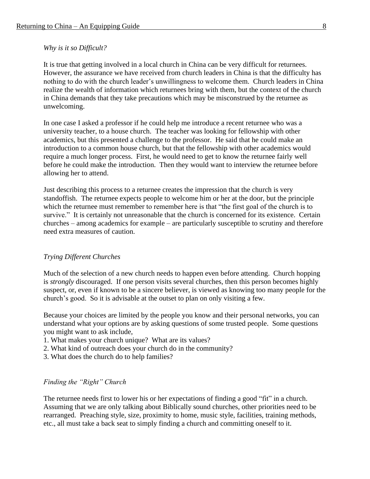#### *Why is it so Difficult?*

It is true that getting involved in a local church in China can be very difficult for returnees. However, the assurance we have received from church leaders in China is that the difficulty has nothing to do with the church leader's unwillingness to welcome them. Church leaders in China realize the wealth of information which returnees bring with them, but the context of the church in China demands that they take precautions which may be misconstrued by the returnee as unwelcoming.

In one case I asked a professor if he could help me introduce a recent returnee who was a university teacher, to a house church. The teacher was looking for fellowship with other academics, but this presented a challenge to the professor. He said that he could make an introduction to a common house church, but that the fellowship with other academics would require a much longer process. First, he would need to get to know the returnee fairly well before he could make the introduction. Then they would want to interview the returnee before allowing her to attend.

Just describing this process to a returnee creates the impression that the church is very standoffish. The returnee expects people to welcome him or her at the door, but the principle which the returnee must remember to remember here is that "the first goal of the church is to survive." It is certainly not unreasonable that the church is concerned for its existence. Certain churches – among academics for example – are particularly susceptible to scrutiny and therefore need extra measures of caution.

#### *Trying Different Churches*

Much of the selection of a new church needs to happen even before attending. Church hopping is *strongly* discouraged. If one person visits several churches, then this person becomes highly suspect, or, even if known to be a sincere believer, is viewed as knowing too many people for the church's good. So it is advisable at the outset to plan on only visiting a few.

Because your choices are limited by the people you know and their personal networks, you can understand what your options are by asking questions of some trusted people. Some questions you might want to ask include,

- 1. What makes your church unique? What are its values?
- 2. What kind of outreach does your church do in the community?
- 3. What does the church do to help families?

#### *Finding the "Right" Church*

The returnee needs first to lower his or her expectations of finding a good "fit" in a church. Assuming that we are only talking about Biblically sound churches, other priorities need to be rearranged. Preaching style, size, proximity to home, music style, facilities, training methods, etc., all must take a back seat to simply finding a church and committing oneself to it.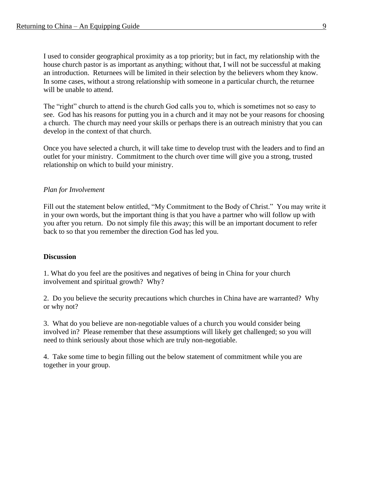I used to consider geographical proximity as a top priority; but in fact, my relationship with the house church pastor is as important as anything; without that, I will not be successful at making an introduction. Returnees will be limited in their selection by the believers whom they know. In some cases, without a strong relationship with someone in a particular church, the returnee will be unable to attend.

The "right" church to attend is the church God calls you to, which is sometimes not so easy to see. God has his reasons for putting you in a church and it may not be your reasons for choosing a church. The church may need your skills or perhaps there is an outreach ministry that you can develop in the context of that church.

Once you have selected a church, it will take time to develop trust with the leaders and to find an outlet for your ministry. Commitment to the church over time will give you a strong, trusted relationship on which to build your ministry.

#### *Plan for Involvement*

Fill out the statement below entitled, "My Commitment to the Body of Christ." You may write it in your own words, but the important thing is that you have a partner who will follow up with you after you return. Do not simply file this away; this will be an important document to refer back to so that you remember the direction God has led you.

#### **Discussion**

1. What do you feel are the positives and negatives of being in China for your church involvement and spiritual growth? Why?

2. Do you believe the security precautions which churches in China have are warranted? Why or why not?

3. What do you believe are non-negotiable values of a church you would consider being involved in? Please remember that these assumptions will likely get challenged; so you will need to think seriously about those which are truly non-negotiable.

4. Take some time to begin filling out the below statement of commitment while you are together in your group.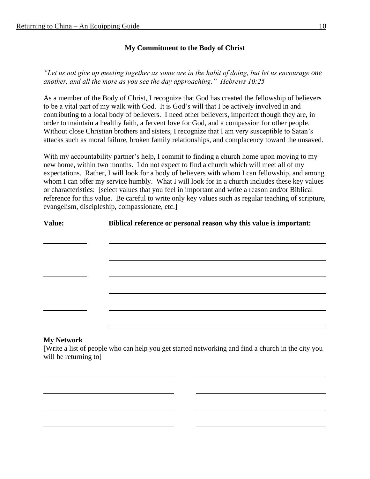# **My Commitment to the Body of Christ**

*"Let us not give up meeting together as some are in the habit of doing, but let us encourage one another, and all the more as you see the day approaching." Hebrews 10:25*

As a member of the Body of Christ, I recognize that God has created the fellowship of believers to be a vital part of my walk with God. It is God's will that I be actively involved in and contributing to a local body of believers. I need other believers, imperfect though they are, in order to maintain a healthy faith, a fervent love for God, and a compassion for other people. Without close Christian brothers and sisters, I recognize that I am very susceptible to Satan's attacks such as moral failure, broken family relationships, and complacency toward the unsaved.

With my accountability partner's help, I commit to finding a church home upon moving to my new home, within two months. I do not expect to find a church which will meet all of my expectations. Rather, I will look for a body of believers with whom I can fellowship, and among whom I can offer my service humbly. What I will look for in a church includes these key values or characteristics: [select values that you feel in important and write a reason and/or Biblical reference for this value. Be careful to write only key values such as regular teaching of scripture, evangelism, discipleship, compassionate, etc.]

**Value: Biblical reference or personal reason why this value is important:**

#### **My Network**

[Write a list of people who can help you get started networking and find a church in the city you will be returning to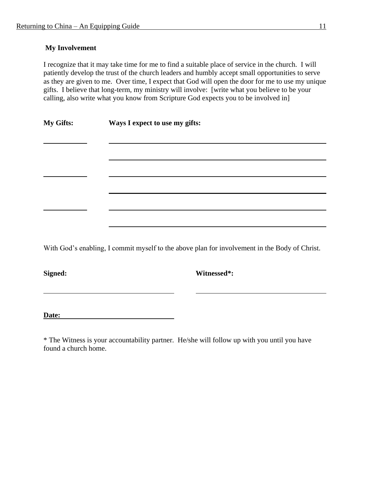# **My Involvement**

I recognize that it may take time for me to find a suitable place of service in the church. I will patiently develop the trust of the church leaders and humbly accept small opportunities to serve as they are given to me. Over time, I expect that God will open the door for me to use my unique gifts. I believe that long-term, my ministry will involve: [write what you believe to be your calling, also write what you know from Scripture God expects you to be involved in]

| <b>My Gifts:</b> | Ways I expect to use my gifts: |
|------------------|--------------------------------|
|------------------|--------------------------------|

With God's enabling, I commit myself to the above plan for involvement in the Body of Christ.

**Signed: Witnessed\*:**

<u> 1989 - Johann Barbara, martxa alemaniar a</u>

**Date:**

\* The Witness is your accountability partner. He/she will follow up with you until you have found a church home.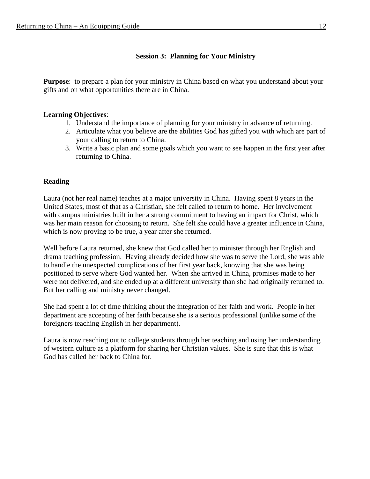# **Session 3: Planning for Your Ministry**

**Purpose**: to prepare a plan for your ministry in China based on what you understand about your gifts and on what opportunities there are in China.

#### **Learning Objectives**:

- 1. Understand the importance of planning for your ministry in advance of returning.
- 2. Articulate what you believe are the abilities God has gifted you with which are part of your calling to return to China.
- 3. Write a basic plan and some goals which you want to see happen in the first year after returning to China.

# **Reading**

Laura (not her real name) teaches at a major university in China. Having spent 8 years in the United States, most of that as a Christian, she felt called to return to home. Her involvement with campus ministries built in her a strong commitment to having an impact for Christ, which was her main reason for choosing to return. She felt she could have a greater influence in China, which is now proving to be true, a year after she returned.

Well before Laura returned, she knew that God called her to minister through her English and drama teaching profession. Having already decided how she was to serve the Lord, she was able to handle the unexpected complications of her first year back, knowing that she was being positioned to serve where God wanted her. When she arrived in China, promises made to her were not delivered, and she ended up at a different university than she had originally returned to. But her calling and ministry never changed.

She had spent a lot of time thinking about the integration of her faith and work. People in her department are accepting of her faith because she is a serious professional (unlike some of the foreigners teaching English in her department).

Laura is now reaching out to college students through her teaching and using her understanding of western culture as a platform for sharing her Christian values. She is sure that this is what God has called her back to China for.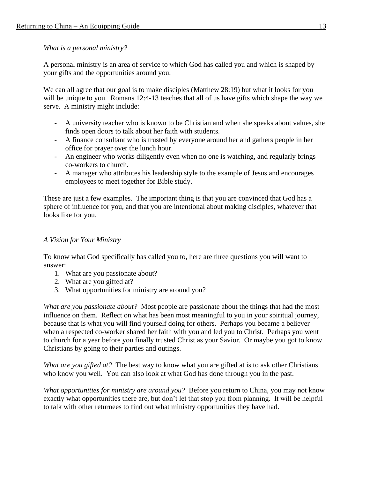*What is a personal ministry?*

A personal ministry is an area of service to which God has called you and which is shaped by your gifts and the opportunities around you.

We can all agree that our goal is to make disciples (Matthew 28:19) but what it looks for you will be unique to you. Romans 12:4-13 teaches that all of us have gifts which shape the way we serve. A ministry might include:

- A university teacher who is known to be Christian and when she speaks about values, she finds open doors to talk about her faith with students.
- A finance consultant who is trusted by everyone around her and gathers people in her office for prayer over the lunch hour.
- An engineer who works diligently even when no one is watching, and regularly brings co-workers to church.
- A manager who attributes his leadership style to the example of Jesus and encourages employees to meet together for Bible study.

These are just a few examples. The important thing is that you are convinced that God has a sphere of influence for you, and that you are intentional about making disciples, whatever that looks like for you.

# *A Vision for Your Ministry*

To know what God specifically has called you to, here are three questions you will want to answer:

- 1. What are you passionate about?
- 2. What are you gifted at?
- 3. What opportunities for ministry are around you?

*What are you passionate about?* Most people are passionate about the things that had the most influence on them. Reflect on what has been most meaningful to you in your spiritual journey, because that is what you will find yourself doing for others. Perhaps you became a believer when a respected co-worker shared her faith with you and led you to Christ. Perhaps you went to church for a year before you finally trusted Christ as your Savior. Or maybe you got to know Christians by going to their parties and outings.

*What are you gifted at?* The best way to know what you are gifted at is to ask other Christians who know you well. You can also look at what God has done through you in the past.

*What opportunities for ministry are around you?* Before you return to China, you may not know exactly what opportunities there are, but don't let that stop you from planning. It will be helpful to talk with other returnees to find out what ministry opportunities they have had.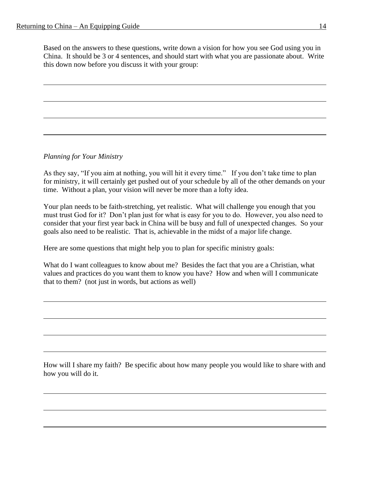Based on the answers to these questions, write down a vision for how you see God using you in China. It should be 3 or 4 sentences, and should start with what you are passionate about. Write this down now before you discuss it with your group:

*Planning for Your Ministry*

As they say, "If you aim at nothing, you will hit it every time." If you don't take time to plan for ministry, it will certainly get pushed out of your schedule by all of the other demands on your time. Without a plan, your vision will never be more than a lofty idea.

Your plan needs to be faith-stretching, yet realistic. What will challenge you enough that you must trust God for it? Don't plan just for what is easy for you to do. However, you also need to consider that your first year back in China will be busy and full of unexpected changes. So your goals also need to be realistic. That is, achievable in the midst of a major life change.

Here are some questions that might help you to plan for specific ministry goals:

What do I want colleagues to know about me? Besides the fact that you are a Christian, what values and practices do you want them to know you have? How and when will I communicate that to them? (not just in words, but actions as well)

How will I share my faith? Be specific about how many people you would like to share with and how you will do it.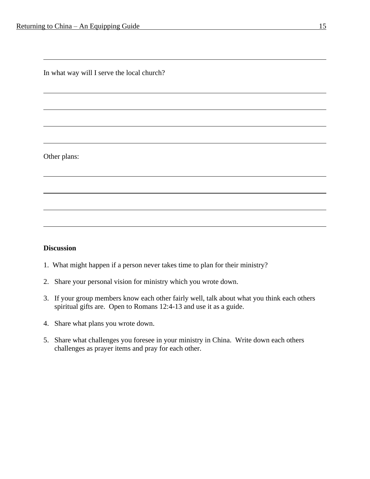In what way will I serve the local church?

Other plans:

#### **Discussion**

- 1. What might happen if a person never takes time to plan for their ministry?
- 2. Share your personal vision for ministry which you wrote down.
- 3. If your group members know each other fairly well, talk about what you think each others spiritual gifts are. Open to Romans 12:4-13 and use it as a guide.
- 4. Share what plans you wrote down.
- 5. Share what challenges you foresee in your ministry in China. Write down each others challenges as prayer items and pray for each other.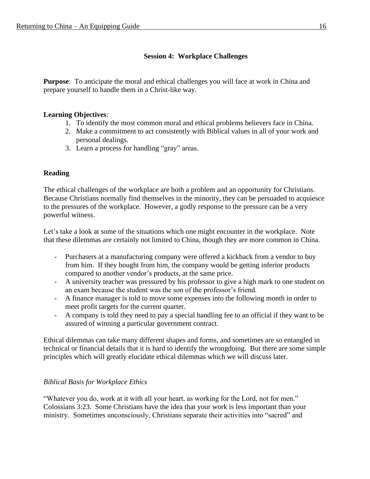# **Session 4: Workplace Challenges**

**Purpose**: To anticipate the moral and ethical challenges you will face at work in China and prepare yourself to handle them in a Christ-like way.

## **Learning Objectives**:

- 1. To identify the most common moral and ethical problems believers face in China.
- 2. Make a commitment to act consistently with Biblical values in all of your work and personal dealings.
- 3. Learn a process for handling "gray" areas.

# **Reading**

The ethical challenges of the workplace are both a problem and an opportunity for Christians. Because Christians normally find themselves in the minority, they can be persuaded to acquiesce to the pressures of the workplace. However, a godly response to the pressure can be a very powerful witness.

Let's take a look at some of the situations which one might encounter in the workplace. Note that these dilemmas are certainly not limited to China, though they are more common in China.

- Purchasers at a manufacturing company were offered a kickback from a vendor to buy from him. If they bought from him, the company would be getting inferior products compared to another vendor's products, at the same price.
- A university teacher was pressured by his professor to give a high mark to one student on an exam because the student was the son of the professor's friend.
- A finance manager is told to move some expenses into the following month in order to meet profit targets for the current quarter.
- A company is told they need to pay a special handling fee to an official if they want to be assured of winning a particular government contract.

Ethical dilemmas can take many different shapes and forms, and sometimes are so entangled in technical or financial details that it is hard to identify the wrongdoing. But there are some simple principles which will greatly elucidate ethical dilemmas which we will discuss later.

# *Biblical Basis for Workplace Ethics*

"Whatever you do, work at it with all your heart, as working for the Lord, not for men." Colossians 3:23. Some Christians have the idea that your work is less important than your ministry. Sometimes unconsciously, Christians separate their activities into "sacred" and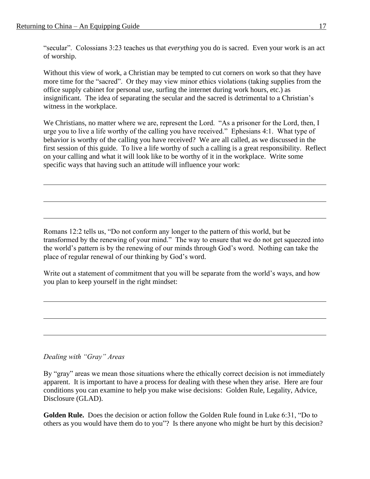"secular". Colossians 3:23 teaches us that *everything* you do is sacred. Even your work is an act of worship.

Without this view of work, a Christian may be tempted to cut corners on work so that they have more time for the "sacred". Or they may view minor ethics violations (taking supplies from the office supply cabinet for personal use, surfing the internet during work hours, etc.) as insignificant. The idea of separating the secular and the sacred is detrimental to a Christian's witness in the workplace.

We Christians, no matter where we are, represent the Lord. "As a prisoner for the Lord, then, I urge you to live a life worthy of the calling you have received." Ephesians 4:1. What type of behavior is worthy of the calling you have received? We are all called, as we discussed in the first session of this guide. To live a life worthy of such a calling is a great responsibility. Reflect on your calling and what it will look like to be worthy of it in the workplace. Write some specific ways that having such an attitude will influence your work:

Romans 12:2 tells us, "Do not conform any longer to the pattern of this world, but be transformed by the renewing of your mind." The way to ensure that we do not get squeezed into the world's pattern is by the renewing of our minds through God's word. Nothing can take the place of regular renewal of our thinking by God's word.

Write out a statement of commitment that you will be separate from the world's ways, and how you plan to keep yourself in the right mindset:

# *Dealing with "Gray" Areas*

By "gray" areas we mean those situations where the ethically correct decision is not immediately apparent. It is important to have a process for dealing with these when they arise. Here are four conditions you can examine to help you make wise decisions: Golden Rule, Legality, Advice, Disclosure (GLAD).

**Golden Rule.** Does the decision or action follow the Golden Rule found in Luke 6:31, "Do to others as you would have them do to you"? Is there anyone who might be hurt by this decision?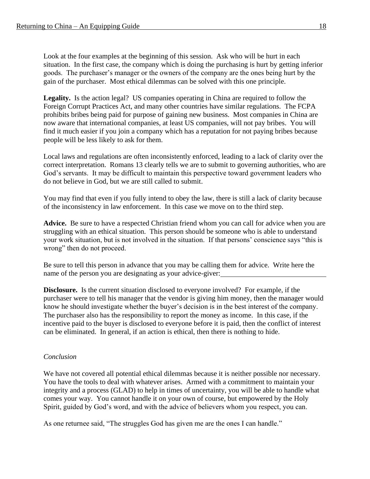Look at the four examples at the beginning of this session. Ask who will be hurt in each situation. In the first case, the company which is doing the purchasing is hurt by getting inferior goods. The purchaser's manager or the owners of the company are the ones being hurt by the gain of the purchaser. Most ethical dilemmas can be solved with this one principle.

Legality. Is the action legal? US companies operating in China are required to follow the Foreign Corrupt Practices Act, and many other countries have similar regulations. The FCPA prohibits bribes being paid for purpose of gaining new business. Most companies in China are now aware that international companies, at least US companies, will not pay bribes. You will find it much easier if you join a company which has a reputation for not paying bribes because people will be less likely to ask for them.

Local laws and regulations are often inconsistently enforced, leading to a lack of clarity over the correct interpretation. Romans 13 clearly tells we are to submit to governing authorities, who are God's servants. It may be difficult to maintain this perspective toward government leaders who do not believe in God, but we are still called to submit.

You may find that even if you fully intend to obey the law, there is still a lack of clarity because of the inconsistency in law enforcement. In this case we move on to the third step.

**Advice.** Be sure to have a respected Christian friend whom you can call for advice when you are struggling with an ethical situation. This person should be someone who is able to understand your work situation, but is not involved in the situation. If that persons' conscience says "this is wrong" then do not proceed.

Be sure to tell this person in advance that you may be calling them for advice. Write here the name of the person you are designating as your advice-giver:

**Disclosure.** Is the current situation disclosed to everyone involved? For example, if the purchaser were to tell his manager that the vendor is giving him money, then the manager would know he should investigate whether the buyer's decision is in the best interest of the company. The purchaser also has the responsibility to report the money as income. In this case, if the incentive paid to the buyer is disclosed to everyone before it is paid, then the conflict of interest can be eliminated. In general, if an action is ethical, then there is nothing to hide.

# *Conclusion*

We have not covered all potential ethical dilemmas because it is neither possible nor necessary. You have the tools to deal with whatever arises. Armed with a commitment to maintain your integrity and a process (GLAD) to help in times of uncertainty, you will be able to handle what comes your way. You cannot handle it on your own of course, but empowered by the Holy Spirit, guided by God's word, and with the advice of believers whom you respect, you can.

As one returnee said, "The struggles God has given me are the ones I can handle."